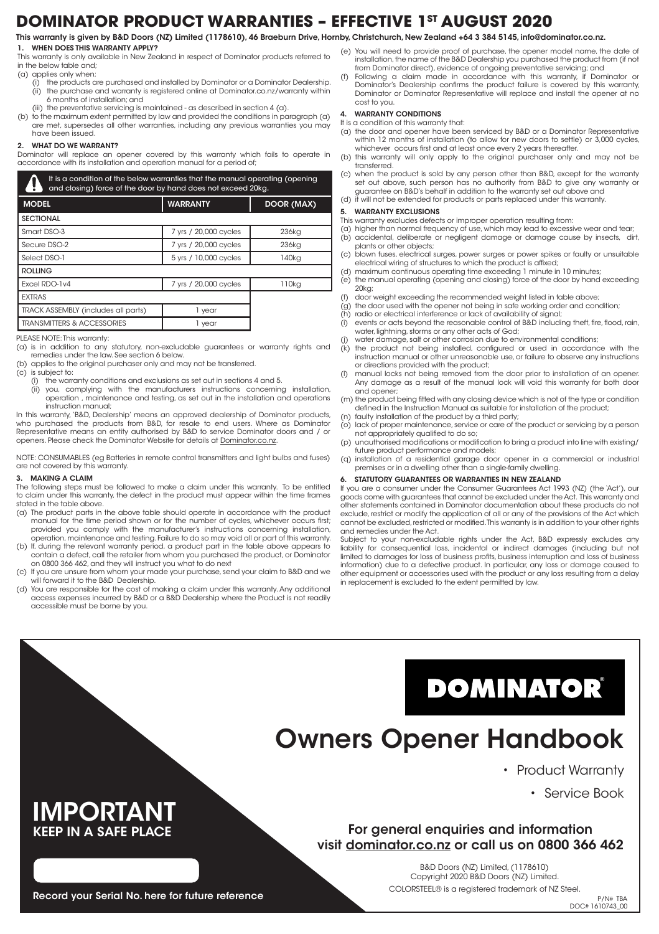## **DOMINATOR PRODUCT WARRANTIES – EFFECTIVE 1ST AUGUST 2020**

#### This warranty is given by B&D Doors (NZ) Limited (1178610), 46 Braeburn Drive, Hornby, Christchurch, New Zealand +64 3 384 5145, info@dominator.co.nz.

#### 1. WHEN DOES THIS WARRANTY APPLY?

- This warranty is only available in New Zealand in respect of Dominator products referred to in the below table and;
- (a) applies only when;
	- (i) the products are purchased and installed by Dominator or a Dominator Dealership. (ii) the purchase and warranty is registered online at Dominator.co.nz/warranty within 6 months of installation; and
	- (iii) the preventative servicing is maintained as described in section 4 (a).
- (b) to the maximum extent permitted by law and provided the conditions in paragraph (a) are met, supersedes all other warranties, including any previous warranties you may have been issued.

#### WHAT DO WE WARRANT?

Dominator will replace an opener covered by this warranty which fails to operate in accordance with its installation and operation manual for a period of;

| It is a condition of the below warranties that the manual operating (opening<br>and closing) force of the door by hand does not exceed 20kg. |                       |                   |  |  |  |  |  |
|----------------------------------------------------------------------------------------------------------------------------------------------|-----------------------|-------------------|--|--|--|--|--|
| <b>MODEL</b>                                                                                                                                 | <b>WARRANTY</b>       | <b>DOOR (MAX)</b> |  |  |  |  |  |
| <b>SECTIONAL</b>                                                                                                                             |                       |                   |  |  |  |  |  |
| Smart DSO-3                                                                                                                                  | 7 yrs / 20,000 cycles | 236kg             |  |  |  |  |  |
| Secure DSO-2                                                                                                                                 | 7 yrs / 20,000 cycles | 236ka             |  |  |  |  |  |
| Select DSO-1                                                                                                                                 | 5 yrs / 10,000 cycles | 140kg             |  |  |  |  |  |
| <b>ROLLING</b>                                                                                                                               |                       |                   |  |  |  |  |  |
| Excel RDO-1v4                                                                                                                                | 7 yrs / 20,000 cycles | 110kg             |  |  |  |  |  |
| <b>EXTRAS</b>                                                                                                                                |                       |                   |  |  |  |  |  |
| TRACK ASSEMBLY (includes all parts)                                                                                                          | 1 year                |                   |  |  |  |  |  |
| <b>TRANSMITTERS &amp; ACCESSORIES</b>                                                                                                        | 1 vear                |                   |  |  |  |  |  |

PI FASE NOTE: This warranty

- (a) is in addition to any statutory, non-excludable guarantees or warranty rights and remedies under the law. See section 6 below.
- (b) applies to the original purchaser only and may not be transferred.
- (c) is subject to:
- (i) the warranty conditions and exclusions as set out in sections 4 and 5.
	- (ii) you, complying with the manufacturers instructions concerning installation, operation , maintenance and testing, as set out in the installation and operations instruction manual;

In this warranty, 'B&D, Dealership' means an approved dealership of Dominator products, who purchased the products from B&D, for resale to end users. Where as Dominator Representative means an entity authorised by B&D to service Dominator doors and / or openers. Please check the Dominator Website for details at Dominator.co.nz.

NOTE: CONSUMABLES (eg Batteries in remote control transmitters and light bulbs and fuses) are not covered by this warranty.

#### 3. MAKING A CLAIM

The following steps must be followed to make a claim under this warranty. To be entitled to claim under this warranty, the defect in the product must appear within the time frames stated in the table above.

- (a) The product parts in the above table should operate in accordance with the product manual for the time period shown or for the number of cycles, whichever occurs first; provided you comply with the manufacturer's instructions concerning installation, operation, maintenance and testing. Failure to do so may void all or part of this warranty.
- (b) If, during the relevant warranty period, a product part in the table above appears to contain a defect, call the retailer from whom you purchased the product, or Dominator on 0800 366 462, and they will instruct you what to do next
- (c) If you are unsure from whom your made your purchase, send your claim to B&D and we will forward it to the B&D Dealership.
- (d) You are responsible for the cost of making a claim under this warranty. Any additional access expenses incurred by B&D or a B&D Dealership where the Product is not readily accessible must be borne by you.
- (e) You will need to provide proof of purchase, the opener model name, the date of installation, the name of the B&D Dealership you purchased the product from (if not from Dominator direct), evidence of ongoing preventative servicing; and
- (f) Following a claim made in accordance with this warranty, if Dominator or Dominator's Dealership confirms the product failure is covered by this warranty, Dominator or Dominator Representative will replace and install the opener at no cost to you.

#### 4. WARRANTY CONDITIONS

It is a condition of this warranty that:

- (a) the door and opener have been serviced by B&D or a Dominator Representative within 12 months of installation (to allow for new doors to settle) or 3,000 cycles, whichever occurs first and at least once every 2 years thereafter.
- (b) this warranty will only apply to the original purchaser only and may not be transferred.
- (c) when the product is sold by any person other than B&D, except for the warranty set out above, such person has no authority from B&D to give any warranty or guarantee on B&D's behalf in addition to the warranty set out above and
- (d) it will not be extended for products or parts replaced under this warranty.

#### 5. WARRANTY EXCLUSIONS

- This warranty excludes defects or improper operation resulting from:
- (a) higher than normal frequency of use, which may lead to excessive wear and tear; (b) accidental, deliberate or negligent damage or damage cause by insects, dirt, plants or other objects;
- (c) blown fuses, electrical surges, power surges or power spikes or faulty or unsuitable electrical wiring of structures to which the product is affixed;
- (d) maximum continuous operating time exceeding 1 minute in 10 minutes; (e) the manual operating (opening and closing) force of the door by hand exceeding
- 20kg;
- (f) door weight exceeding the recommended weight listed in table above;
- $\overrightarrow{a}$ ) the door used with the opener not being in safe working order and condition; (h) radio or electrical interference or lack of availability of signal;
- (i) events or acts beyond the reasonable control of B&D including theft, fire, flood, rain,
- water, lightning, storms or any other acts of God; (j) water damage, salt or other corrosion due to environmental conditions;
- (k) the product not being installed, configured or used in accordance with the instruction manual or other unreasonable use, or failure to observe any instructions or directions provided with the product;
- (l) manual locks not being removed from the door prior to installation of an opener. Any damage as a result of the manual lock will void this warranty for both door and opener
- (m) the product being fitted with any closing device which is not of the type or condition defined in the Instruction Manual as suitable for installation of the product;
- (n) faulty installation of the product by a third party; (o) lack of proper maintenance, service or care of the product or servicing by a person not appropriately qualified to do so;
- (p) unauthorised modifications or modification to bring a product into line with existing/ future product performance and models;
- (q) installation of a residential garage door opener in a commercial or industrial premises or in a dwelling other than a single-family dwelling.

#### 6. STATUTORY GUARANTEES OR WARRANTIES IN NEW ZEALAND

If you are a consumer under the Consumer Guarantees Act 1993 (NZ) (the 'Act'), our goods come with guarantees that cannot be excluded under the Act. This warranty and other statements contained in Dominator documentation about these products do not exclude, restrict or modify the application of all or any of the provisions of the Act which cannot be excluded, restricted or modified. This warranty is in addition to your other rights and remedies under the Act.

Subject to your non-excludable rights under the Act, B&D expressly excludes any liability for consequential loss, incidental or indirect damages (including but not limited to damages for loss of business profits, business interruption and loss of business information) due to a defective product. In particular, any loss or damage caused to other equipment or accessories used with the product or any loss resulting from a delay in replacement is excluded to the extent permitted by law.

# **DOMINATOR®**

## Owners Opener Handbook

• Product Warranty

• Service Book

### For general enquiries and information visit dominator.co.nz or call us on 0800 366 462

B&D Doors (NZ) Limited, (1178610) Copyright 2020 B&D Doors (NZ) Limited. COLORSTEEL® is a registered trademark of NZ Steel.

Record your Serial No. here for future reference

**IMPORTANT**<br>KEEP IN A SAFE PLACE

P/N# TBA DOC# 1610743\_00